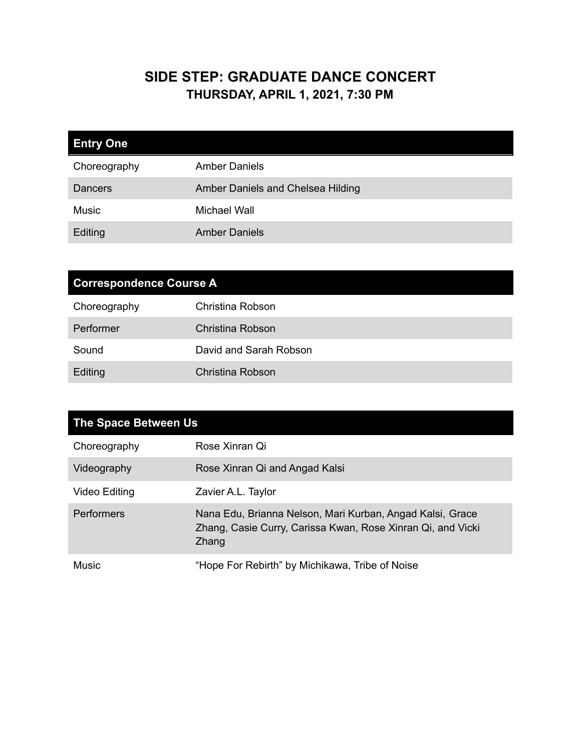## **SIDE STEP: GRADUATE DANCE CONCERT THURSDAY, APRIL 1, 2021, 7:30 PM**

| <b>Entry One</b> |                                   |
|------------------|-----------------------------------|
| Choreography     | <b>Amber Daniels</b>              |
| Dancers          | Amber Daniels and Chelsea Hilding |
| <b>Music</b>     | <b>Michael Wall</b>               |
| Editing          | <b>Amber Daniels</b>              |

| <b>Correspondence Course A</b> |                        |
|--------------------------------|------------------------|
| Choreography                   | Christina Robson       |
| Performer                      | Christina Robson       |
| Sound                          | David and Sarah Robson |
| Editing                        | Christina Robson       |

| The Space Between Us |                                                                                                                                   |
|----------------------|-----------------------------------------------------------------------------------------------------------------------------------|
| Choreography         | Rose Xinran Qi                                                                                                                    |
| Videography          | Rose Xinran Qi and Angad Kalsi                                                                                                    |
| Video Editing        | Zavier A.L. Taylor                                                                                                                |
| Performers           | Nana Edu, Brianna Nelson, Mari Kurban, Angad Kalsi, Grace<br>Zhang, Casie Curry, Carissa Kwan, Rose Xinran Qi, and Vicki<br>Zhang |
| Music                | "Hope For Rebirth" by Michikawa, Tribe of Noise                                                                                   |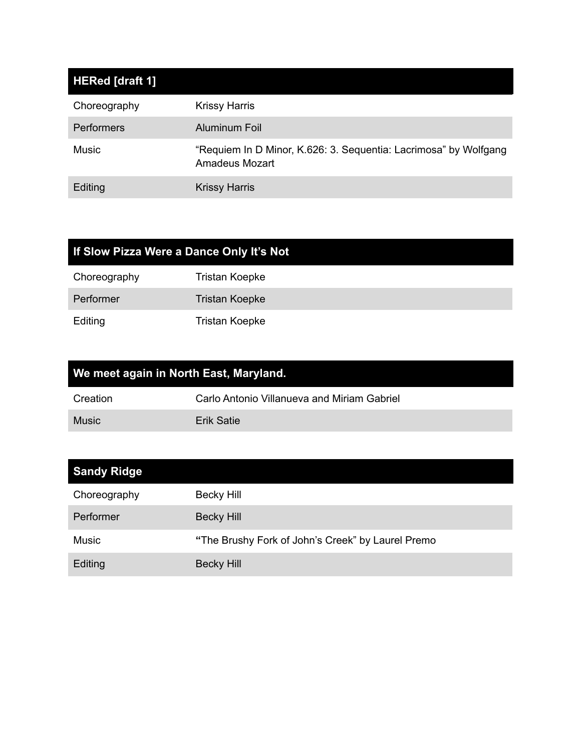| HERed [draft 1]   |                                                                                    |
|-------------------|------------------------------------------------------------------------------------|
| Choreography      | <b>Krissy Harris</b>                                                               |
| <b>Performers</b> | Aluminum Foil                                                                      |
| <b>Music</b>      | "Requiem In D Minor, K.626: 3. Sequentia: Lacrimosa" by Wolfgang<br>Amadeus Mozart |
| Editing           | <b>Krissy Harris</b>                                                               |

| If Slow Pizza Were a Dance Only It's Not |                       |
|------------------------------------------|-----------------------|
| Choreography                             | <b>Tristan Koepke</b> |
| Performer                                | <b>Tristan Koepke</b> |
| Editing                                  | <b>Tristan Koepke</b> |

| We meet again in North East, Maryland. |                                             |
|----------------------------------------|---------------------------------------------|
| Creation                               | Carlo Antonio Villanueva and Miriam Gabriel |
| <b>Music</b>                           | Erik Satie                                  |

| <b>Sandy Ridge</b> |                                                   |
|--------------------|---------------------------------------------------|
| Choreography       | Becky Hill                                        |
| Performer          | Becky Hill                                        |
| Music              | "The Brushy Fork of John's Creek" by Laurel Premo |
| Editing            | <b>Becky Hill</b>                                 |